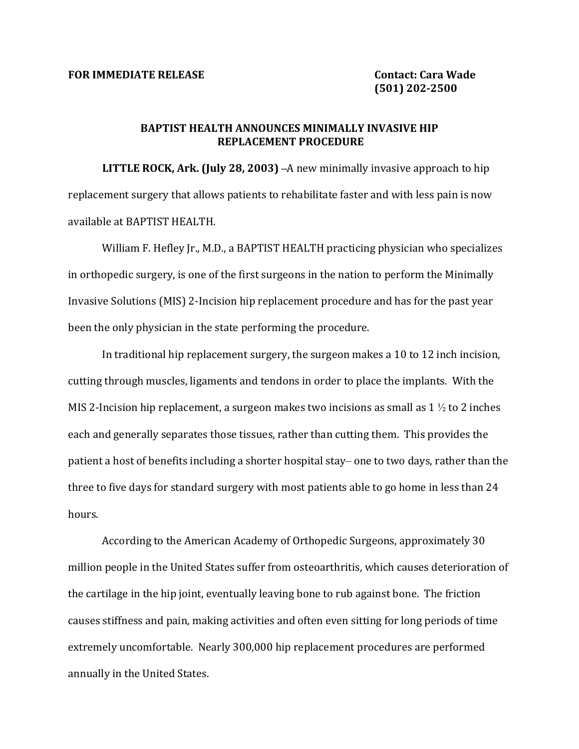## BAPTIST HEALTH ANNOUNCES MINIMALLY INVASIVE HIP **REPLACEMENT PROCEDURE**

**LITTLE ROCK, Ark. (July 28, 2003)** –A new minimally invasive approach to hip replacement surgery that allows patients to rehabilitate faster and with less pain is now available at BAPTIST HEALTH.

William F. Hefley Jr., M.D., a BAPTIST HEALTH practicing physician who specializes in orthopedic surgery, is one of the first surgeons in the nation to perform the Minimally Invasive Solutions (MIS) 2-Incision hip replacement procedure and has for the past year been the only physician in the state performing the procedure.

In traditional hip replacement surgery, the surgeon makes a 10 to 12 inch incision, cutting through muscles, ligaments and tendons in order to place the implants. With the MIS 2-Incision hip replacement, a surgeon makes two incisions as small as  $1\frac{1}{2}$  to 2 inches each and generally separates those tissues, rather than cutting them. This provides the patient a host of benefits including a shorter hospital stay– one to two days, rather than the three to five days for standard surgery with most patients able to go home in less than 24 hours.

According to the American Academy of Orthopedic Surgeons, approximately 30 million people in the United States suffer from osteoarthritis, which causes deterioration of the cartilage in the hip joint, eventually leaving bone to rub against bone. The friction causes stiffness and pain, making activities and often even sitting for long periods of time extremely uncomfortable. Nearly 300,000 hip replacement procedures are performed annually in the United States.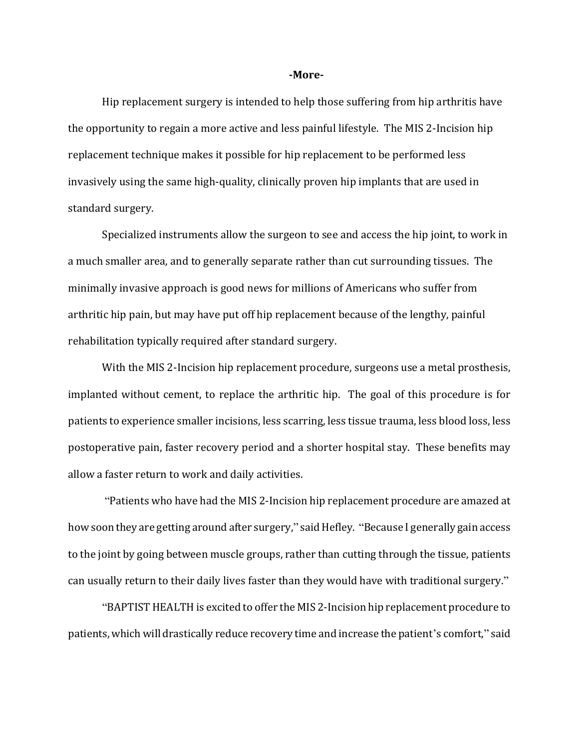## **-More-**

Hip replacement surgery is intended to help those suffering from hip arthritis have the opportunity to regain a more active and less painful lifestyle. The MIS 2-Incision hip replacement technique makes it possible for hip replacement to be performed less invasively using the same high-quality, clinically proven hip implants that are used in standard surgery.

Specialized instruments allow the surgeon to see and access the hip joint, to work in a much smaller area, and to generally separate rather than cut surrounding tissues. The minimally invasive approach is good news for millions of Americans who suffer from arthritic hip pain, but may have put off hip replacement because of the lengthy, painful rehabilitation typically required after standard surgery.

With the MIS 2-Incision hip replacement procedure, surgeons use a metal prosthesis, implanted without cement, to replace the arthritic hip. The goal of this procedure is for patients to experience smaller incisions, less scarring, less tissue trauma, less blood loss, less postoperative pain, faster recovery period and a shorter hospital stay. These benefits may allow a faster return to work and daily activities.

"Patients who have had the MIS 2-Incision hip replacement procedure are amazed at how soon they are getting around after surgery," said Hefley. "Because I generally gain access to the joint by going between muscle groups, rather than cutting through the tissue, patients can usually return to their daily lives faster than they would have with traditional surgery."

"BAPTIST HEALTH is excited to offer the MIS 2-Incision hip replacement procedure to patients, which will drastically reduce recovery time and increase the patient's comfort," said